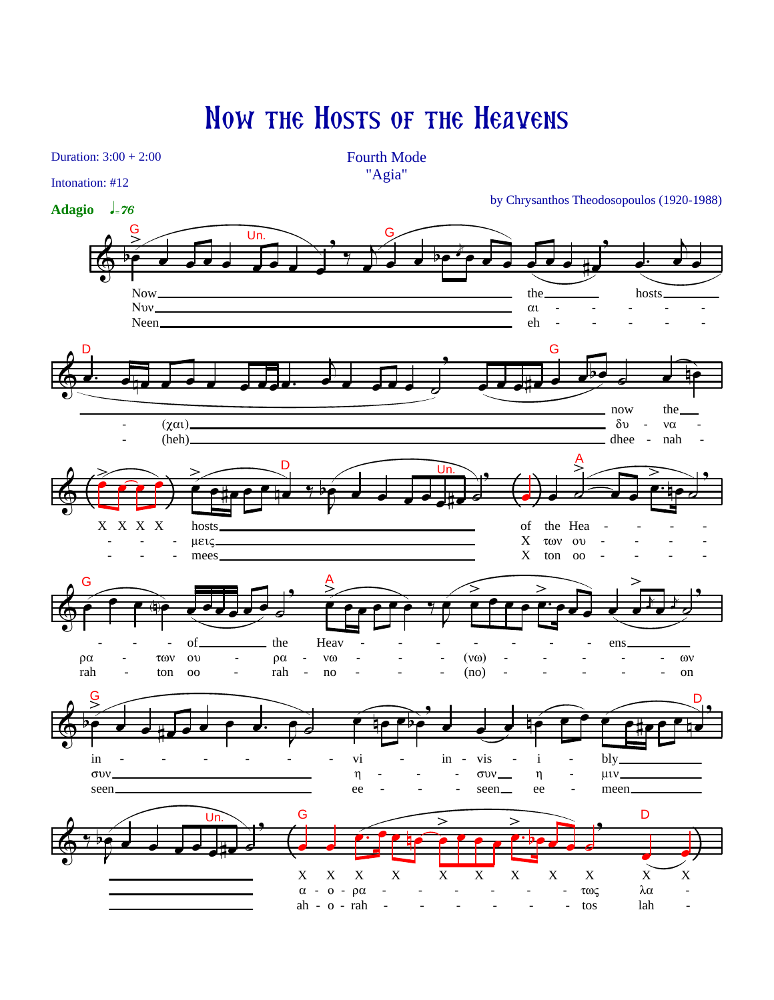

## Now THE HOSTS OF THE HEAVENS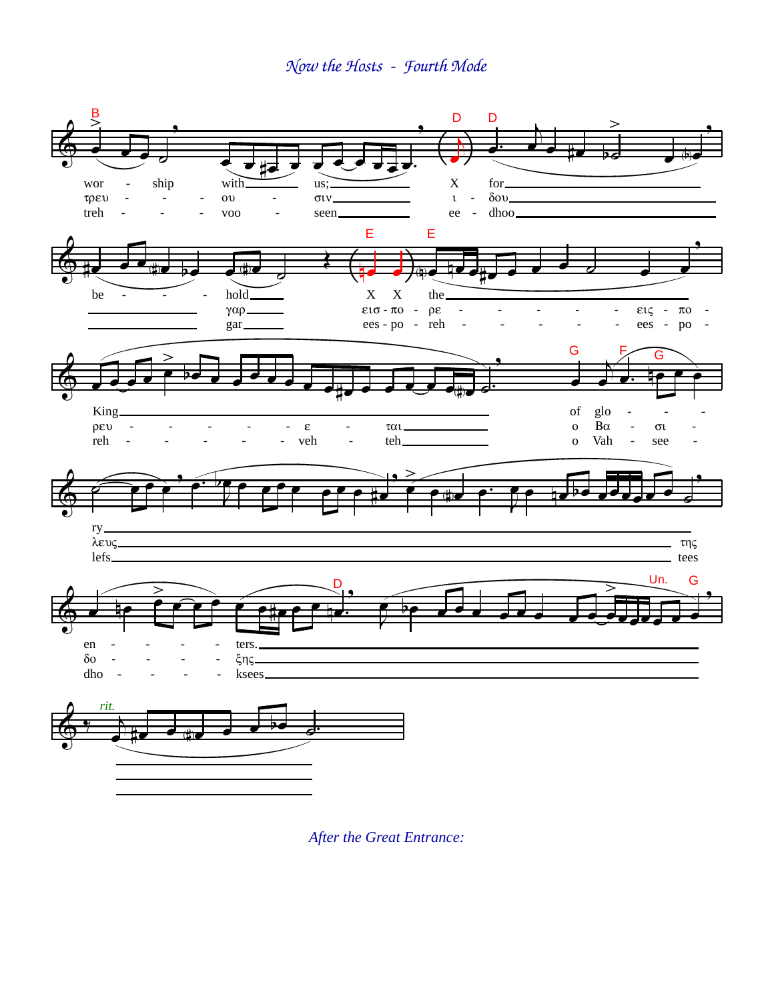Now the Hosts - Fourth Mode



After the Great Entrance: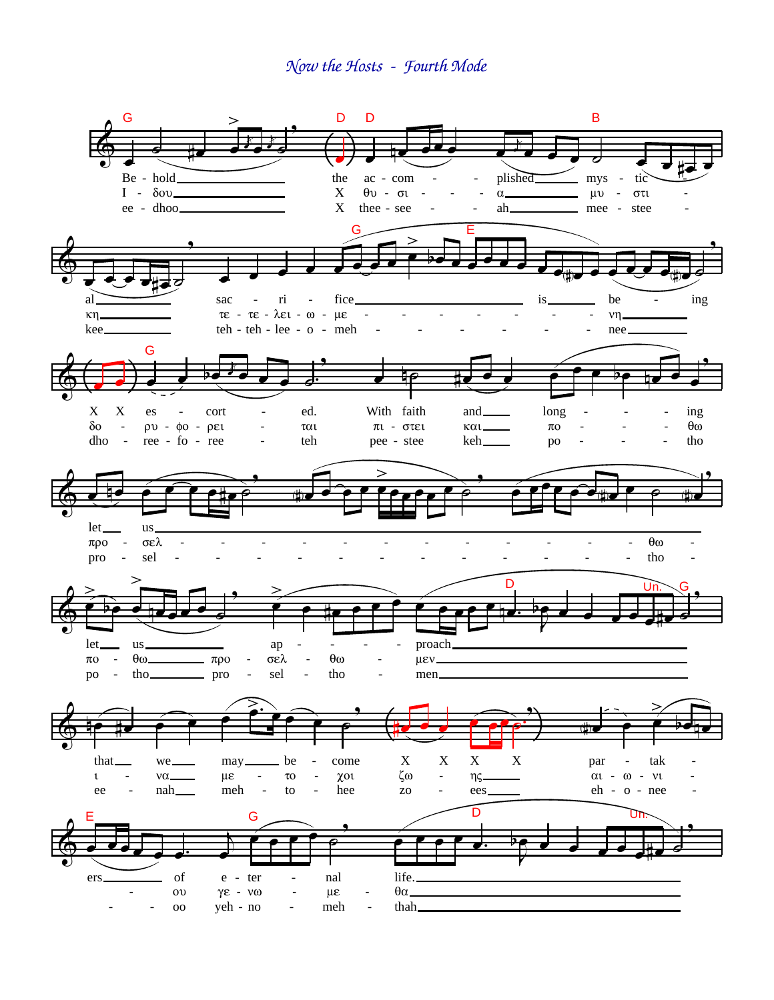Now the Hosts - Fourth Mode